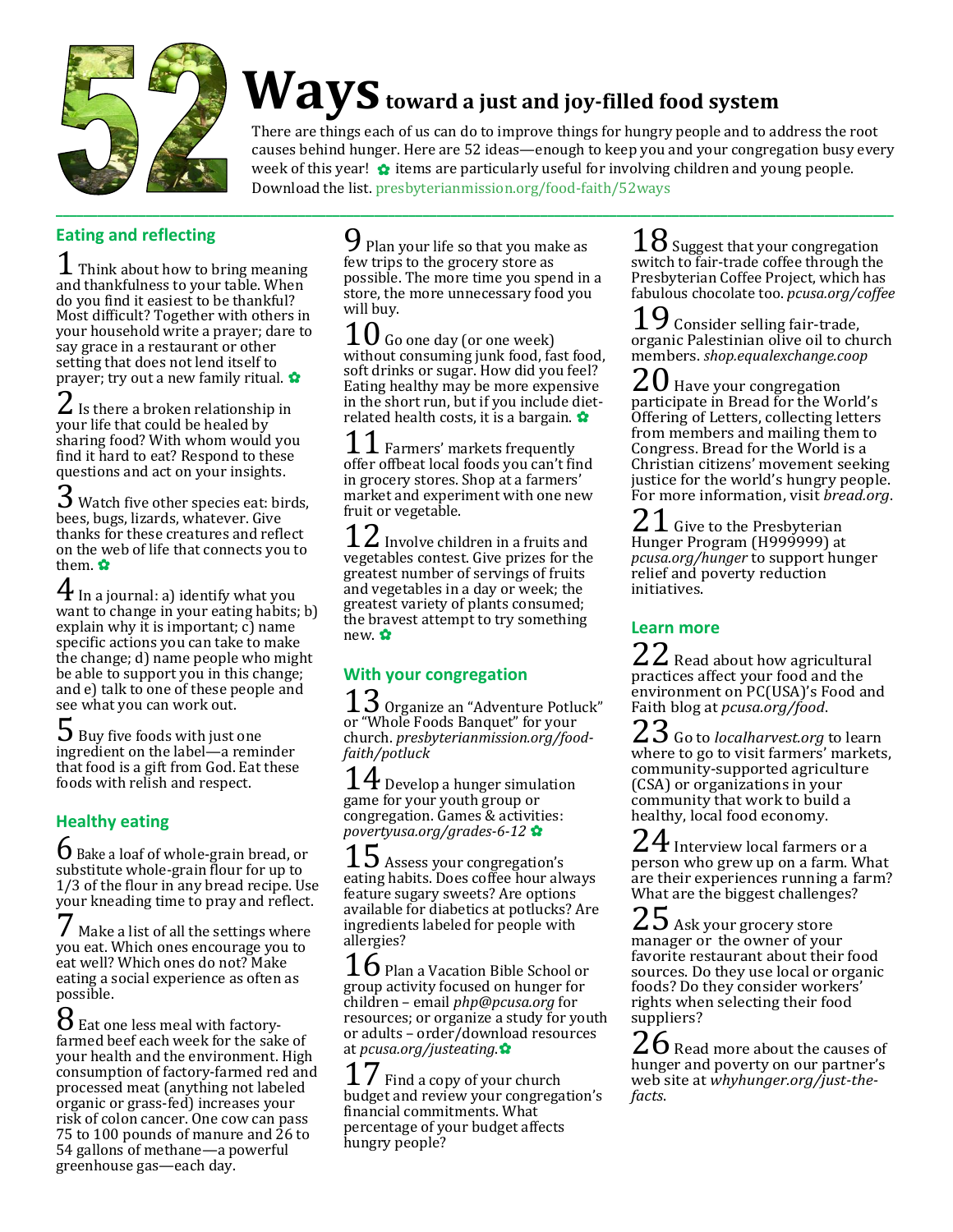

# **Waystoward a just and joy-filled food system**

There are things each of us can do to improve things for hungry people and to address the root causes behind hunger. Here are 52 ideas—enough to keep you and your congregation busy every week of this year!  $\bullet$  items are particularly useful for involving children and young people. Download the list[. presbyterianmission.org/food-faith/52ways](http://www.presbyterianmission.org/food-faith/52ways)

#### **Eating and reflecting**

 $\perp$  Think about how to bring meaning and thankfulness to your table. When do you find it easiest to be thankful? Most difficult? Together with others in your household write a prayer; dare to say grace in a restaurant or other setting that does not lend itself to prayer; try out a new family ritual. ✿

 $\angle$  Is there a broken relationship in your life that could be healed by sharing food? With whom would you find it hard to eat? Respond to these questions and act on your insights.

 $3$  Watch five other species eat: birds, bees, bugs, lizards, whatever. Give thanks for these creatures and reflect on the web of life that connects you to them. ✿

 $\Phi$  In a journal: a) identify what you want to change in your eating habits; b) explain why it is important; c) name specific actions you can take to make the change; d) name people who might be able to support you in this change; and e) talk to one of these people and see what you can work out.

**3** Buy five foods with just one ingredient on the label—a reminder that food is a gift from God. Eat these foods with relish and respect.

#### **Healthy eating**

 $\mathbf 6$  Bake a loaf of whole-grain bread, or substitute whole-grain flour for up to 1/3 of the flour in any bread recipe. Use your kneading time to pray and reflect.

Make a list of all the settings where you eat. Which ones encourage you to eat well? Which ones do not? Make eating a social experience as often as possible.

 $8$  Eat one less meal with factoryfarmed beef each week for the sake of your health and the environment. High consumption of factory-farmed red and processed meat (anything not labeled organic or grass-fed) increases your risk of colon cancer. One cow can pass 75 to 100 pounds of manure and 26 to 54 gallons of methane—a powerful greenhouse gas—each day.

 $\boldsymbol{\mathsf{9}}$  Plan your life so that you make as few trips to the grocery store as possible. The more time you spend in a store, the more unnecessary food you will buy.

Go one day (or one week) without consuming junk food, fast food, soft drinks or sugar. How did you feel? Eating healthy may be more expensive in the short run, but if you include dietrelated health costs, it is a bargain. ✿

 $\perp$  Farmers' markets frequently offer offbeat local foods you can't find in grocery stores. Shop at a farmers' market and experiment with one new fruit or vegetable.

 $\boldsymbol{\angle}$  Involve children in a fruits and vegetables contest. Give prizes for the greatest number of servings of fruits and vegetables in a day or week; the greatest variety of plants consumed; the bravest attempt to try something new. ✿

### **With your congregation**

 $\mathsf{\mathfrak{S}}$  Organize an "Adventure Potluck" or "Whole Foods Banquet" for your church. *[presbyterianmission.org/food](http://www.presbyterianmission.org/food-faith/potluck)[faith/potluck](http://www.presbyterianmission.org/food-faith/potluck)*

 $4$  Develop a hunger simulation game for your youth group or congregation. Games & activities: *[povertyusa.org/grades-6-12](http://www.povertyusa.org/grades-6-12)* ✿

 $15$  Assess your congregation's eating habits. Does coffee hour always feature sugary sweets? Are options available for diabetics at potlucks? Are ingredients labeled for people with allergies?

**D** Plan a Vacation Bible School or group activity focused on hunger for children – email *[php@pcusa.org](mailto:php@pcusa.org)* for resources; or organize a study for youth or adults – order/download resources at *[pcusa.org/justeating](http://www.pcusa.org/justeating)*.✿

Find a copy of your church budget and review your congregation's financial commitments. What percentage of your budget affects hungry people?

 $18$  Suggest that your congregation switch to fair-trade coffee through the Presbyterian Coffee Project, which has fabulous chocolate too. *[pcusa.org/coffee](http://www.pcusa.org/coffee)*

 $9$  Consider selling fair-trade, organic Palestinian olive oil to church members. *[shop.equalexchange.coop](http://www.shop.equalexchange.coop/)*

 $20$  Have your congregation participate in Bread for the World's Offering of Letters, collecting letters from members and mailing them to Congress. Bread for the World is a Christian citizens' movement seeking justice for the world's hungry people. For more information, visit *[bread.org](http://www.bread.org/)*.

 $\angle$   $\perp$  Give to the Presbyterian Hunger Program (H999999) at *[pcusa.org/hunger](http://www.pcusa.org/hunger)* to support hunger relief and poverty reduction initiatives.

#### **Learn more**

 $\angle$   $\angle$  Read about how agricultural practices affect your food and the environment on PC(USA)'s Food and Faith blog at *[pcusa.org/food](http://www.pcusa.org/food)*.

 $23$  Go to *[localharvest.org](http://www.localharvest.org/)* to learn where to go to visit farmers' markets, community-supported agriculture (CSA) or organizations in your community that work to build a healthy, local food economy.

 $24$  Interview local farmers or a person who grew up on a farm. What are their experiences running a farm? What are the biggest challenges?

 $25$  Ask your grocery store manager or the owner of your favorite restaurant about their food sources. Do they use local or organic foods? Do they consider workers' rights when selecting their food suppliers?

 $\angle{\text{O}}$  Read more about the causes of hunger and poverty on our partner's web site at *[whyhunger.org/just-the](https://whyhunger.org/just-the-facts)[facts](https://whyhunger.org/just-the-facts)*.